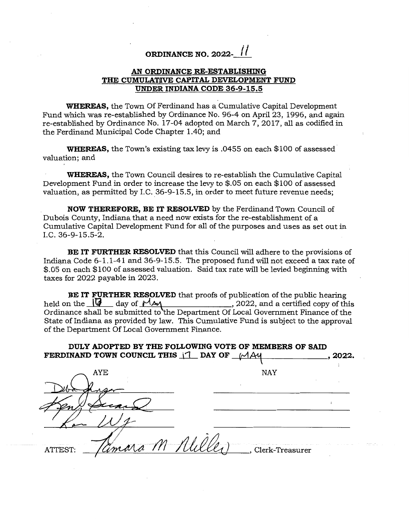## **ORDINANCE NO. 2022- /**

## **AN ORDINANCE RE-ESTABLISHING THE CUMULATWE CAPITAL DEVELOPMENT FUND UNDER INDIANA CODE 36-9-15.5**

**WHEREAS,** the Town Of Ferdinand has a Cumulative Capital Development Fund which was re-established by Ordinance No. 96-4 on April 23, 1996, and again re-established by Ordinance No. 17-04 adopted on March 7, 2017, all as codified in the Ferdinand Municipal Code Chapter 1.40; and

**WHEREAS,** the Town's existing tax levy is .0455 on each \$100 of assessed valuation; and

**WHEREAS,** the Town Council desires to re-establish the Cumulative Capital Development Fund in order to increase the levy to \$.05 on each \$100 of assessed valuation, as permitted by I.C. 36-9-15.5, in order to meet future revenue needs;

**NOW THEREFORE, BE IT RESOLVED** by the Ferdinand Town Council of Dubois County, Indiana that a need now exists for the re-establishment of a Cumulative Capital Development Fund for all of the purposes and uses as set out in I.C. 36-9-15.5-2.

**BE IT FURTHER RESOLVED** that this Council will adhere to the provisions of Indiana Code 6-1.1-41 and 36-9-15.5. The proposed fund will not exceed a tax rate of \$.05 on each \$100 of assessed valuation. Said tax rate will be levied beginning with taxes for 2022 payable in 2023.

**BE IT FURTHER RESOLVED** that proofs of publication of the public hearing held on the  $\sqrt{d}$  day of  $\frac{M}{M}$  $\ldots$ , 2022, and a certified copy of this Ordinance shall be submitted to the Department Of Local Government Finance of the State of Indiana as provided by law. This Cumulative Fund is subject to the approval of the Department Of Local Government Finance.

**DULY ADOPTED BY THE FOLLOWING VOTE OF MEMBERS OF SAID FERDINAND TOWN COUNCIL THIS**  $\begin{bmatrix} 1 \\ 1 \end{bmatrix}$  **DAY OF**  $\begin{bmatrix} 1 \\ 1 \end{bmatrix}$  $\begin{bmatrix} 1 \\ 2 \end{bmatrix}$ **, 2022.** AYE NAY ATTEST: Tamara M Alille), Clerk-Treasurer